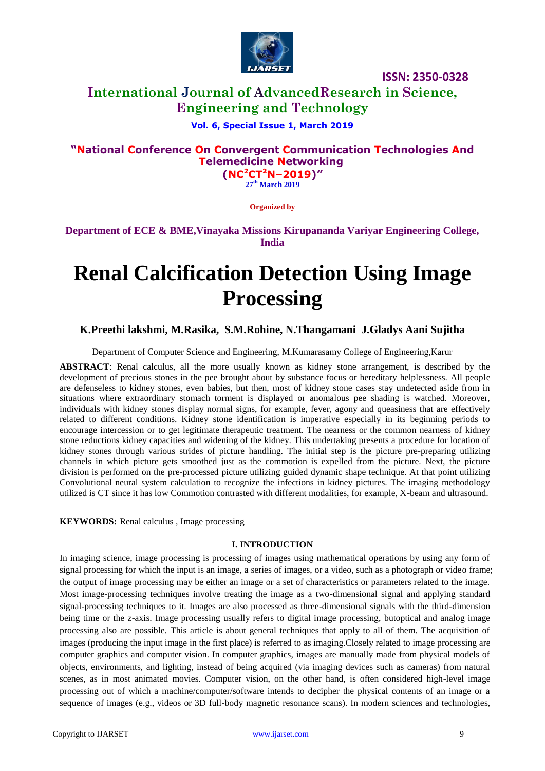

# **International Journal of AdvancedResearch in Science, Engineering and Technology**

## **Vol. 6, Special Issue 1, March 2019**

## **"National Conference On Convergent Communication Technologies And Telemedicine Networking**

**(NC<sup>2</sup>CT<sup>2</sup>N–2019)" 27 th March 2019**

**Organized by**

**Department of ECE & BME,Vinayaka Missions Kirupananda Variyar Engineering College, India**

# **Renal Calcification Detection Using Image Processing**

#### **K.Preethi lakshmi, M.Rasika, S.M.Rohine, N.Thangamani J.Gladys Aani Sujitha**

Department of Computer Science and Engineering, M.Kumarasamy College of Engineering,Karur

**ABSTRACT**: Renal calculus, all the more usually known as kidney stone arrangement, is described by the development of precious stones in the pee brought about by substance focus or hereditary helplessness. All people are defenseless to kidney stones, even babies, but then, most of kidney stone cases stay undetected aside from in situations where extraordinary stomach torment is displayed or anomalous pee shading is watched. Moreover, individuals with kidney stones display normal signs, for example, fever, agony and queasiness that are effectively related to different conditions. Kidney stone identification is imperative especially in its beginning periods to encourage intercession or to get legitimate therapeutic treatment. The nearness or the common nearness of kidney stone reductions kidney capacities and widening of the kidney. This undertaking presents a procedure for location of kidney stones through various strides of picture handling. The initial step is the picture pre-preparing utilizing channels in which picture gets smoothed just as the commotion is expelled from the picture. Next, the picture division is performed on the pre-processed picture utilizing guided dynamic shape technique. At that point utilizing Convolutional neural system calculation to recognize the infections in kidney pictures. The imaging methodology utilized is CT since it has low Commotion contrasted with different modalities, for example, X-beam and ultrasound.

**KEYWORDS:** Renal calculus , Image processing

#### **I. INTRODUCTION**

In imaging science, image processing is processing of images using mathematical operations by using any form of signal processing for which the input is an image, a series of images, or a video, such as a photograph or video frame; the output of image processing may be either an image or a set of characteristics or parameters related to the image. Most image-processing techniques involve treating the image as a two-dimensional signal and applying standard signal-processing techniques to it. Images are also processed as three-dimensional signals with the third-dimension being time or the z-axis. Image processing usually refers to digital image processing, butoptical and analog image processing also are possible. This article is about general techniques that apply to all of them. The acquisition of images (producing the input image in the first place) is referred to as imaging.Closely related to image processing are computer graphics and computer vision. In computer graphics, images are manually made from physical models of objects, environments, and lighting, instead of being acquired (via imaging devices such as cameras) from natural scenes, as in most animated movies. Computer vision, on the other hand, is often considered high-level image processing out of which a machine/computer/software intends to decipher the physical contents of an image or a sequence of images (e.g., videos or 3D full-body magnetic resonance scans). In modern sciences and technologies,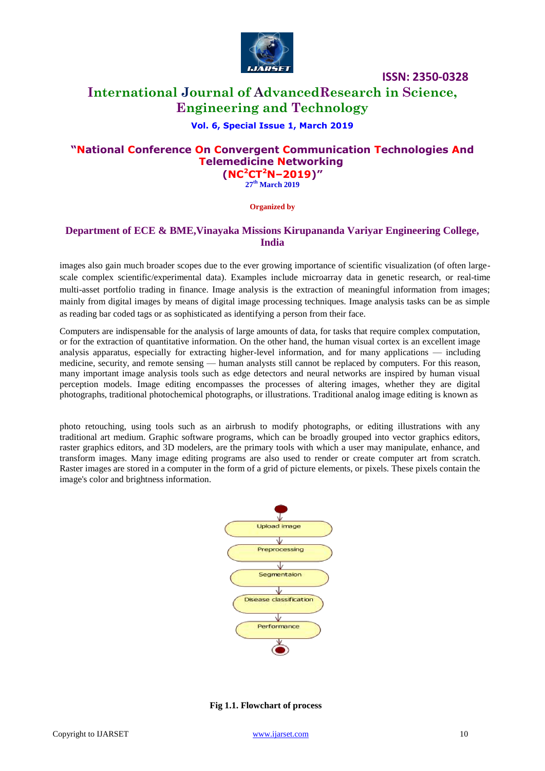

# **International Journal of AdvancedResearch in Science, Engineering and Technology**

#### **Vol. 6, Special Issue 1, March 2019**

## **"National Conference On Convergent Communication Technologies And Telemedicine Networking (NC<sup>2</sup>CT<sup>2</sup>N–2019)"**

**27 th March 2019**

**Organized by**

## **Department of ECE & BME,Vinayaka Missions Kirupananda Variyar Engineering College, India**

images also gain much broader scopes due to the ever growing importance of scientific visualization (of often largescale complex scientific/experimental data). Examples include microarray data in genetic research, or real-time multi-asset portfolio trading in finance. Image analysis is the extraction of meaningful information from images; mainly from digital images by means of digital image processing techniques. Image analysis tasks can be as simple as reading bar coded tags or as sophisticated as identifying a person from their face.

Computers are indispensable for the analysis of large amounts of data, for tasks that require complex computation, or for the extraction of quantitative information. On the other hand, the human visual cortex is an excellent image analysis apparatus, especially for extracting higher-level information, and for many applications — including medicine, security, and remote sensing — human analysts still cannot be replaced by computers. For this reason, many important image analysis tools such as edge detectors and neural networks are inspired by human visual perception models. Image editing encompasses the processes of altering images, whether they are digital photographs, traditional photochemical photographs, or illustrations. Traditional analog image editing is known as

photo retouching, using tools such as an airbrush to modify photographs, or editing illustrations with any traditional art medium. Graphic software programs, which can be broadly grouped into vector graphics editors, raster graphics editors, and 3D modelers, are the primary tools with which a user may manipulate, enhance, and transform images. Many image editing programs are also used to render or create computer art from scratch. Raster images are stored in a computer in the form of a grid of picture elements, or pixels. These pixels contain the image's color and brightness information.



 **Fig 1.1. Flowchart of process**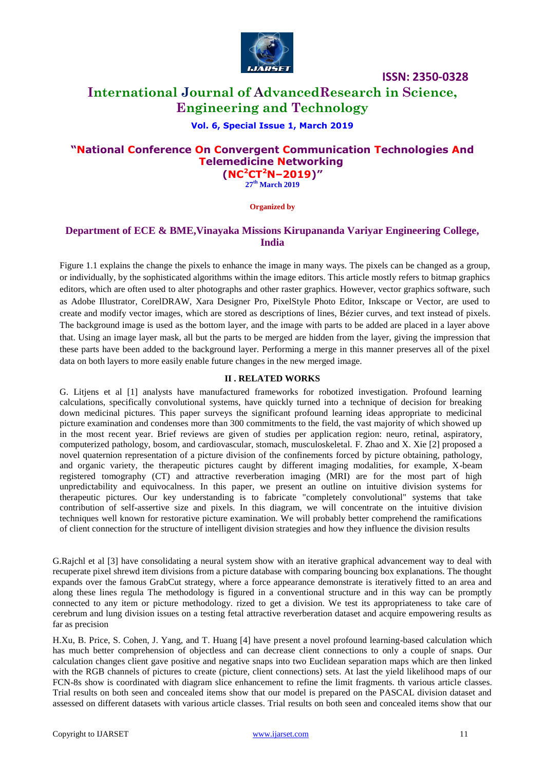

# **International Journal of AdvancedResearch in Science, Engineering and Technology**

#### **Vol. 6, Special Issue 1, March 2019**

## **"National Conference On Convergent Communication Technologies And Telemedicine Networking (NC<sup>2</sup>CT<sup>2</sup>N–2019)"**

**27 th March 2019**

**Organized by**

## **Department of ECE & BME,Vinayaka Missions Kirupananda Variyar Engineering College, India**

Figure 1.1 explains the change the pixels to enhance the image in many ways. The pixels can be changed as a group, or individually, by the sophisticated algorithms within the image editors. This article mostly refers to bitmap graphics editors, which are often used to alter photographs and other raster graphics. However, vector graphics software, such as Adobe Illustrator, CorelDRAW, Xara Designer Pro, PixelStyle Photo Editor, Inkscape or Vector, are used to create and modify vector images, which are stored as descriptions of lines, Bézier curves, and text instead of pixels. The background image is used as the bottom layer, and the image with parts to be added are placed in a layer above that. Using an image layer mask, all but the parts to be merged are hidden from the layer, giving the impression that these parts have been added to the background layer. Performing a merge in this manner preserves all of the pixel data on both layers to more easily enable future changes in the new merged image.

#### **II . RELATED WORKS**

G. Litjens et al [1] analysts have manufactured frameworks for robotized investigation. Profound learning calculations, specifically convolutional systems, have quickly turned into a technique of decision for breaking down medicinal pictures. This paper surveys the significant profound learning ideas appropriate to medicinal picture examination and condenses more than 300 commitments to the field, the vast majority of which showed up in the most recent year. Brief reviews are given of studies per application region: neuro, retinal, aspiratory, computerized pathology, bosom, and cardiovascular, stomach, musculoskeletal. F. Zhao and X. Xie [2] proposed a novel quaternion representation of a picture division of the confinements forced by picture obtaining, pathology, and organic variety, the therapeutic pictures caught by different imaging modalities, for example, X-beam registered tomography (CT) and attractive reverberation imaging (MRI) are for the most part of high unpredictability and equivocalness. In this paper, we present an outline on intuitive division systems for therapeutic pictures. Our key understanding is to fabricate "completely convolutional" systems that take contribution of self-assertive size and pixels. In this diagram, we will concentrate on the intuitive division techniques well known for restorative picture examination. We will probably better comprehend the ramifications of client connection for the structure of intelligent division strategies and how they influence the division results

G.Rajchl et al [3] have consolidating a neural system show with an iterative graphical advancement way to deal with recuperate pixel shrewd item divisions from a picture database with comparing bouncing box explanations. The thought expands over the famous GrabCut strategy, where a force appearance demonstrate is iteratively fitted to an area and along these lines regula The methodology is figured in a conventional structure and in this way can be promptly connected to any item or picture methodology. rized to get a division. We test its appropriateness to take care of cerebrum and lung division issues on a testing fetal attractive reverberation dataset and acquire empowering results as far as precision

H.Xu, B. Price, S. Cohen, J. Yang, and T. Huang [4] have present a novel profound learning-based calculation which has much better comprehension of objectless and can decrease client connections to only a couple of snaps. Our calculation changes client gave positive and negative snaps into two Euclidean separation maps which are then linked with the RGB channels of pictures to create (picture, client connections) sets. At last the yield likelihood maps of our FCN-8s show is coordinated with diagram slice enhancement to refine the limit fragments. th various article classes. Trial results on both seen and concealed items show that our model is prepared on the PASCAL division dataset and assessed on different datasets with various article classes. Trial results on both seen and concealed items show that our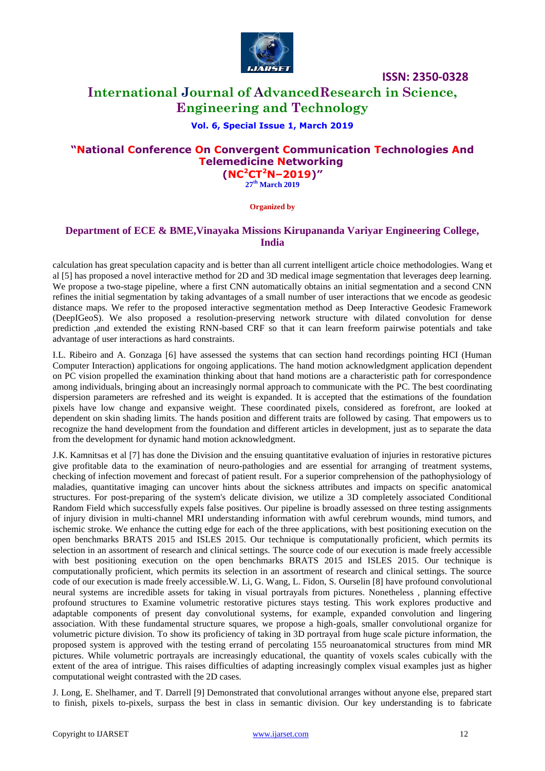

## **International Journal of AdvancedResearch in Science, Engineering and Technology**

#### **Vol. 6, Special Issue 1, March 2019**

## **"National Conference On Convergent Communication Technologies And Telemedicine Networking (NC<sup>2</sup>CT<sup>2</sup>N–2019)"**

**27 th March 2019**

**Organized by**

#### **Department of ECE & BME,Vinayaka Missions Kirupananda Variyar Engineering College, India**

calculation has great speculation capacity and is better than all current intelligent article choice methodologies. Wang et al [5] has proposed a novel interactive method for 2D and 3D medical image segmentation that leverages deep learning. We propose a two-stage pipeline, where a first CNN automatically obtains an initial segmentation and a second CNN refines the initial segmentation by taking advantages of a small number of user interactions that we encode as geodesic distance maps. We refer to the proposed interactive segmentation method as Deep Interactive Geodesic Framework (DeepIGeoS). We also proposed a resolution-preserving network structure with dilated convolution for dense prediction ,and extended the existing RNN-based CRF so that it can learn freeform pairwise potentials and take advantage of user interactions as hard constraints.

I.L. Ribeiro and A. Gonzaga [6] have assessed the systems that can section hand recordings pointing HCI (Human Computer Interaction) applications for ongoing applications. The hand motion acknowledgment application dependent on PC vision propelled the examination thinking about that hand motions are a characteristic path for correspondence among individuals, bringing about an increasingly normal approach to communicate with the PC. The best coordinating dispersion parameters are refreshed and its weight is expanded. It is accepted that the estimations of the foundation pixels have low change and expansive weight. These coordinated pixels, considered as forefront, are looked at dependent on skin shading limits. The hands position and different traits are followed by casing. That empowers us to recognize the hand development from the foundation and different articles in development, just as to separate the data from the development for dynamic hand motion acknowledgment.

J.K. Kamnitsas et al [7] has done the Division and the ensuing quantitative evaluation of injuries in restorative pictures give profitable data to the examination of neuro-pathologies and are essential for arranging of treatment systems, checking of infection movement and forecast of patient result. For a superior comprehension of the pathophysiology of maladies, quantitative imaging can uncover hints about the sickness attributes and impacts on specific anatomical structures. For post-preparing of the system's delicate division, we utilize a 3D completely associated Conditional Random Field which successfully expels false positives. Our pipeline is broadly assessed on three testing assignments of injury division in multi-channel MRI understanding information with awful cerebrum wounds, mind tumors, and ischemic stroke. We enhance the cutting edge for each of the three applications, with best positioning execution on the open benchmarks BRATS 2015 and ISLES 2015. Our technique is computationally proficient, which permits its selection in an assortment of research and clinical settings. The source code of our execution is made freely accessible with best positioning execution on the open benchmarks BRATS 2015 and ISLES 2015. Our technique is computationally proficient, which permits its selection in an assortment of research and clinical settings. The source code of our execution is made freely accessible.W. Li, G. Wang, L. Fidon, S. Ourselin [8] have profound convolutional neural systems are incredible assets for taking in visual portrayals from pictures. Nonetheless , planning effective profound structures to Examine volumetric restorative pictures stays testing. This work explores productive and adaptable components of present day convolutional systems, for example, expanded convolution and lingering association. With these fundamental structure squares, we propose a high-goals, smaller convolutional organize for volumetric picture division. To show its proficiency of taking in 3D portrayal from huge scale picture information, the proposed system is approved with the testing errand of percolating 155 neuroanatomical structures from mind MR pictures. While volumetric portrayals are increasingly educational, the quantity of voxels scales cubically with the extent of the area of intrigue. This raises difficulties of adapting increasingly complex visual examples just as higher computational weight contrasted with the 2D cases.

J. Long, E. Shelhamer, and T. Darrell [9] Demonstrated that convolutional arranges without anyone else, prepared start to finish, pixels to-pixels, surpass the best in class in semantic division. Our key understanding is to fabricate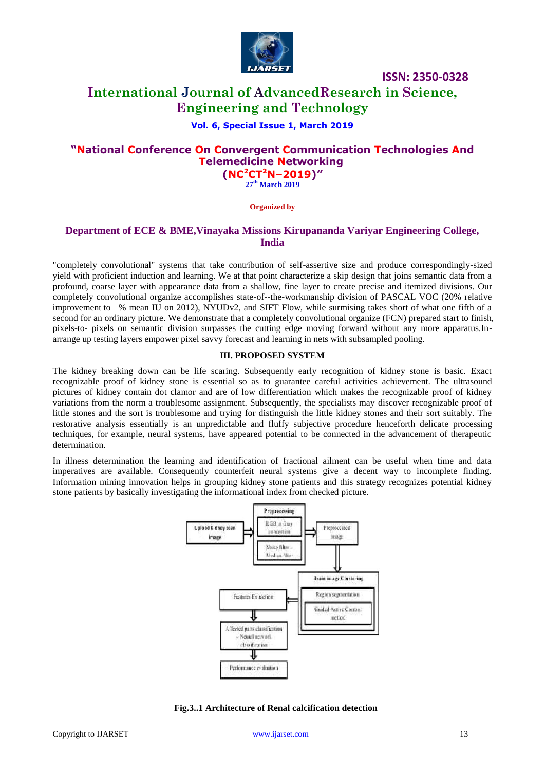

# **International Journal of AdvancedResearch in Science, Engineering and Technology**

#### **Vol. 6, Special Issue 1, March 2019**

## **"National Conference On Convergent Communication Technologies And Telemedicine Networking (NC<sup>2</sup>CT<sup>2</sup>N–2019)"**

**27 th March 2019**

**Organized by**

#### **Department of ECE & BME,Vinayaka Missions Kirupananda Variyar Engineering College, India**

"completely convolutional" systems that take contribution of self-assertive size and produce correspondingly-sized yield with proficient induction and learning. We at that point characterize a skip design that joins semantic data from a profound, coarse layer with appearance data from a shallow, fine layer to create precise and itemized divisions. Our completely convolutional organize accomplishes state-of--the-workmanship division of PASCAL VOC (20% relative improvement to % mean IU on 2012), NYUDv2, and SIFT Flow, while surmising takes short of what one fifth of a second for an ordinary picture. We demonstrate that a completely convolutional organize (FCN) prepared start to finish, pixels-to- pixels on semantic division surpasses the cutting edge moving forward without any more apparatus.Inarrange up testing layers empower pixel savvy forecast and learning in nets with subsampled pooling.

#### **III. PROPOSED SYSTEM**

The kidney breaking down can be life scaring. Subsequently early recognition of kidney stone is basic. Exact recognizable proof of kidney stone is essential so as to guarantee careful activities achievement. The ultrasound pictures of kidney contain dot clamor and are of low differentiation which makes the recognizable proof of kidney variations from the norm a troublesome assignment. Subsequently, the specialists may discover recognizable proof of little stones and the sort is troublesome and trying for distinguish the little kidney stones and their sort suitably. The restorative analysis essentially is an unpredictable and fluffy subjective procedure henceforth delicate processing techniques, for example, neural systems, have appeared potential to be connected in the advancement of therapeutic determination.

In illness determination the learning and identification of fractional ailment can be useful when time and data imperatives are available. Consequently counterfeit neural systems give a decent way to incomplete finding. Information mining innovation helps in grouping kidney stone patients and this strategy recognizes potential kidney stone patients by basically investigating the informational index from checked picture.



**Fig.3..1 Architecture of Renal calcification detection**